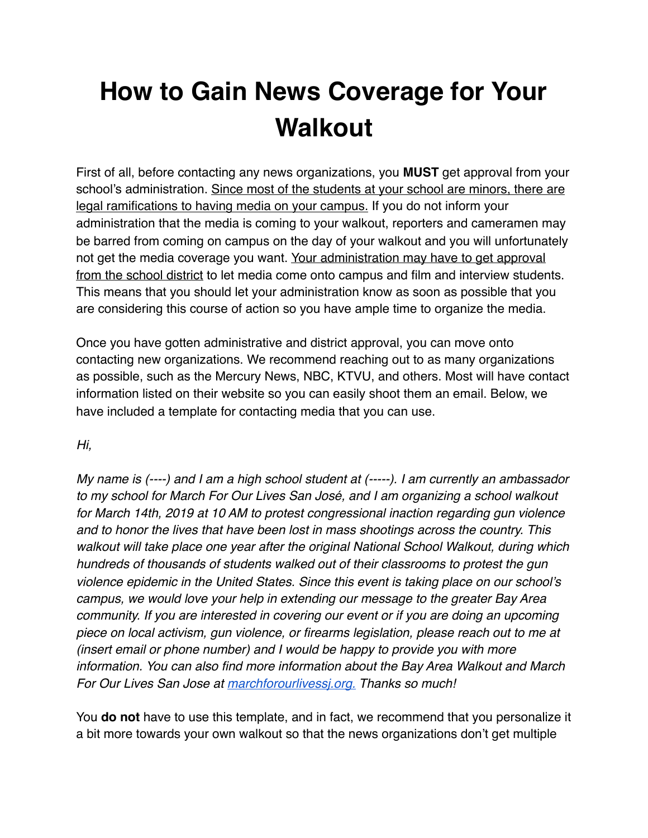## **How to Gain News Coverage for Your Walkout**

First of all, before contacting any news organizations, you **MUST** get approval from your school's administration. Since most of the students at your school are minors, there are legal ramifications to having media on your campus. If you do not inform your administration that the media is coming to your walkout, reporters and cameramen may be barred from coming on campus on the day of your walkout and you will unfortunately not get the media coverage you want. Your administration may have to get approval from the school district to let media come onto campus and film and interview students. This means that you should let your administration know as soon as possible that you are considering this course of action so you have ample time to organize the media.

Once you have gotten administrative and district approval, you can move onto contacting new organizations. We recommend reaching out to as many organizations as possible, such as the Mercury News, NBC, KTVU, and others. Most will have contact information listed on their website so you can easily shoot them an email. Below, we have included a template for contacting media that you can use.

## *Hi,*

*My name is (----) and I am a high school student at (-----). I am currently an ambassador to my school for March For Our Lives San José, and I am organizing a school walkout for March 14th, 2019 at 10 AM to protest congressional inaction regarding gun violence and to honor the lives that have been lost in mass shootings across the country. This walkout will take place one year after the original National School Walkout, during which hundreds of thousands of students walked out of their classrooms to protest the gun violence epidemic in the United States. Since this event is taking place on our school's campus, we would love your help in extending our message to the greater Bay Area community. If you are interested in covering our event or if you are doing an upcoming piece on local activism, gun violence, or firearms legislation, please reach out to me at (insert email or phone number) and I would be happy to provide you with more information. You can also find more information about the Bay Area Walkout and March For Our Lives San Jose at [marchforourlivessj.org.](http://marchforourlivessj.org/) Thanks so much!*

You **do not** have to use this template, and in fact, we recommend that you personalize it a bit more towards your own walkout so that the news organizations don't get multiple